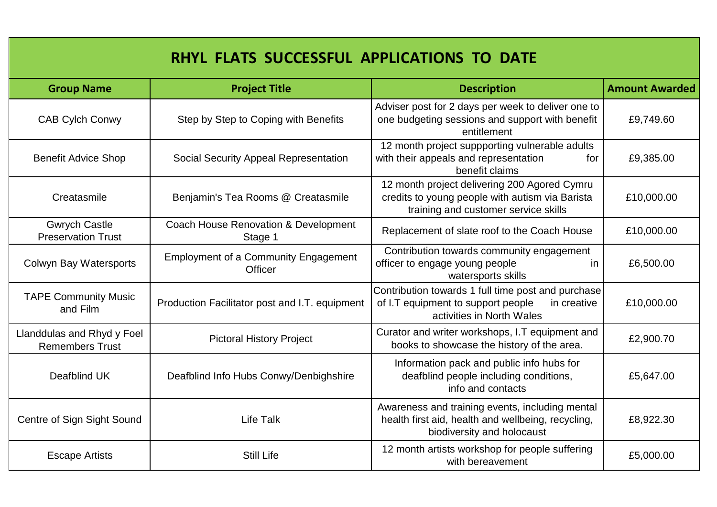| RHYL FLATS SUCCESSFUL APPLICATIONS TO DATE           |                                                               |                                                                                                                                         |                       |  |  |
|------------------------------------------------------|---------------------------------------------------------------|-----------------------------------------------------------------------------------------------------------------------------------------|-----------------------|--|--|
| <b>Group Name</b>                                    | <b>Project Title</b>                                          | <b>Description</b>                                                                                                                      | <b>Amount Awarded</b> |  |  |
| <b>CAB Cylch Conwy</b>                               | Step by Step to Coping with Benefits                          | Adviser post for 2 days per week to deliver one to<br>one budgeting sessions and support with benefit<br>entitlement                    | £9,749.60             |  |  |
| <b>Benefit Advice Shop</b>                           | <b>Social Security Appeal Representation</b>                  | 12 month project suppporting vulnerable adults<br>with their appeals and representation<br>for<br>benefit claims                        | £9,385.00             |  |  |
| Creatasmile                                          | Benjamin's Tea Rooms @ Creatasmile                            | 12 month project delivering 200 Agored Cymru<br>credits to young people with autism via Barista<br>training and customer service skills | £10,000.00            |  |  |
| <b>Gwrych Castle</b><br><b>Preservation Trust</b>    | <b>Coach House Renovation &amp; Development</b><br>Stage 1    | Replacement of slate roof to the Coach House                                                                                            | £10,000.00            |  |  |
| <b>Colwyn Bay Watersports</b>                        | <b>Employment of a Community Engagement</b><br><b>Officer</b> | Contribution towards community engagement<br>officer to engage young people<br><i>in</i><br>watersports skills                          | £6,500.00             |  |  |
| <b>TAPE Community Music</b><br>and Film              | Production Facilitator post and I.T. equipment                | Contribution towards 1 full time post and purchase<br>of I.T equipment to support people<br>in creative<br>activities in North Wales    | £10,000.00            |  |  |
| Llanddulas and Rhyd y Foel<br><b>Remembers Trust</b> | <b>Pictoral History Project</b>                               | Curator and writer workshops, I.T equipment and<br>books to showcase the history of the area.                                           | £2,900.70             |  |  |
| Deafblind UK                                         | Deafblind Info Hubs Conwy/Denbighshire                        | Information pack and public info hubs for<br>deafblind people including conditions,<br>info and contacts                                | £5,647.00             |  |  |
| Centre of Sign Sight Sound                           | <b>Life Talk</b>                                              | Awareness and training events, including mental<br>health first aid, health and wellbeing, recycling,<br>biodiversity and holocaust     | £8,922.30             |  |  |
| <b>Escape Artists</b>                                | <b>Still Life</b>                                             | 12 month artists workshop for people suffering<br>with bereavement                                                                      | £5,000.00             |  |  |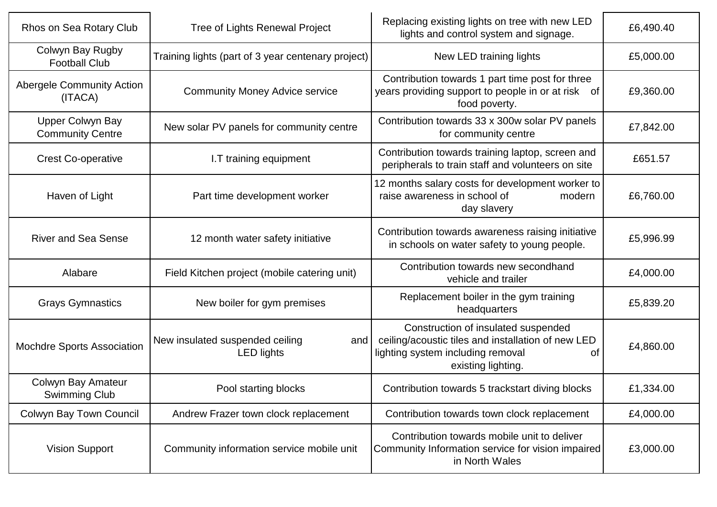| Rhos on Sea Rotary Club                            | Tree of Lights Renewal Project                              | Replacing existing lights on tree with new LED<br>lights and control system and signage.                                                                   | £6,490.40 |
|----------------------------------------------------|-------------------------------------------------------------|------------------------------------------------------------------------------------------------------------------------------------------------------------|-----------|
| Colwyn Bay Rugby<br><b>Football Club</b>           | Training lights (part of 3 year centenary project)          | New LED training lights                                                                                                                                    | £5,000.00 |
| Abergele Community Action<br>(ITACA)               | <b>Community Money Advice service</b>                       | Contribution towards 1 part time post for three<br>years providing support to people in or at risk of<br>food poverty.                                     | £9,360.00 |
| <b>Upper Colwyn Bay</b><br><b>Community Centre</b> | New solar PV panels for community centre                    | Contribution towards 33 x 300w solar PV panels<br>for community centre                                                                                     | £7,842.00 |
| <b>Crest Co-operative</b>                          | I.T training equipment                                      | Contribution towards training laptop, screen and<br>peripherals to train staff and volunteers on site                                                      | £651.57   |
| Haven of Light                                     | Part time development worker                                | 12 months salary costs for development worker to<br>raise awareness in school of<br>modern<br>day slavery                                                  | £6,760.00 |
| <b>River and Sea Sense</b>                         | 12 month water safety initiative                            | Contribution towards awareness raising initiative<br>in schools on water safety to young people.                                                           | £5,996.99 |
| Alabare                                            | Field Kitchen project (mobile catering unit)                | Contribution towards new secondhand<br>vehicle and trailer                                                                                                 | £4,000.00 |
| <b>Grays Gymnastics</b>                            | New boiler for gym premises                                 | Replacement boiler in the gym training<br>headquarters                                                                                                     | £5,839.20 |
| <b>Mochdre Sports Association</b>                  | New insulated suspended ceiling<br>and<br><b>LED lights</b> | Construction of insulated suspended<br>ceiling/acoustic tiles and installation of new LED<br>lighting system including removal<br>оf<br>existing lighting. | £4,860.00 |
| Colwyn Bay Amateur<br><b>Swimming Club</b>         | Pool starting blocks                                        | Contribution towards 5 trackstart diving blocks                                                                                                            | £1,334.00 |
| Colwyn Bay Town Council                            | Andrew Frazer town clock replacement                        | Contribution towards town clock replacement                                                                                                                | £4,000.00 |
| <b>Vision Support</b>                              | Community information service mobile unit                   | Contribution towards mobile unit to deliver<br>Community Information service for vision impaired<br>in North Wales                                         | £3,000.00 |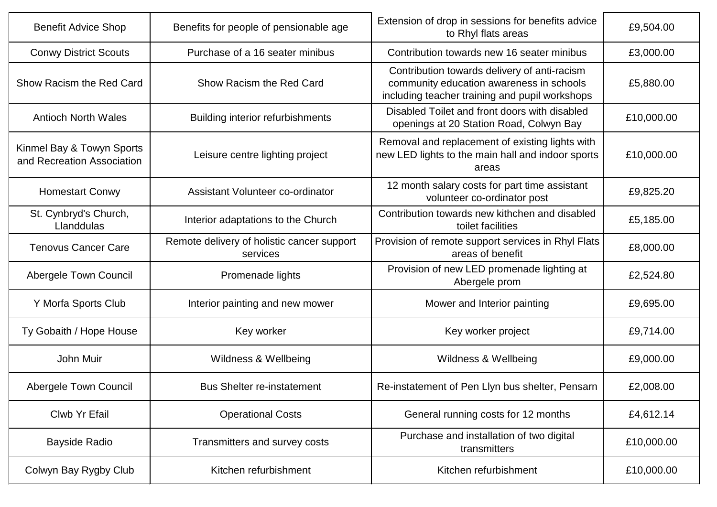| <b>Benefit Advice Shop</b>                              | Benefits for people of pensionable age                 | Extension of drop in sessions for benefits advice<br>to Rhyl flats areas                                                                   | £9,504.00  |
|---------------------------------------------------------|--------------------------------------------------------|--------------------------------------------------------------------------------------------------------------------------------------------|------------|
| <b>Conwy District Scouts</b>                            | Purchase of a 16 seater minibus                        | Contribution towards new 16 seater minibus                                                                                                 | £3,000.00  |
| Show Racism the Red Card                                | Show Racism the Red Card                               | Contribution towards delivery of anti-racism<br>community education awareness in schools<br>including teacher training and pupil workshops | £5,880.00  |
| <b>Antioch North Wales</b>                              | <b>Building interior refurbishments</b>                | Disabled Toilet and front doors with disabled<br>openings at 20 Station Road, Colwyn Bay                                                   | £10,000.00 |
| Kinmel Bay & Towyn Sports<br>and Recreation Association | Leisure centre lighting project                        | Removal and replacement of existing lights with<br>new LED lights to the main hall and indoor sports<br>areas                              | £10,000.00 |
| <b>Homestart Conwy</b>                                  | Assistant Volunteer co-ordinator                       | 12 month salary costs for part time assistant<br>volunteer co-ordinator post                                                               | £9,825.20  |
| St. Cynbryd's Church,<br>Llanddulas                     | Interior adaptations to the Church                     | Contribution towards new kithchen and disabled<br>toilet facilities                                                                        | £5,185.00  |
| <b>Tenovus Cancer Care</b>                              | Remote delivery of holistic cancer support<br>services | Provision of remote support services in Rhyl Flats<br>areas of benefit                                                                     | £8,000.00  |
| Abergele Town Council                                   | Promenade lights                                       | Provision of new LED promenade lighting at<br>Abergele prom                                                                                | £2,524.80  |
| Y Morfa Sports Club                                     | Interior painting and new mower                        | Mower and Interior painting                                                                                                                | £9,695.00  |
| Ty Gobaith / Hope House                                 | Key worker                                             | Key worker project                                                                                                                         | £9,714.00  |
| John Muir                                               | Wildness & Wellbeing                                   | Wildness & Wellbeing                                                                                                                       | £9,000.00  |
| Abergele Town Council                                   | <b>Bus Shelter re-instatement</b>                      | Re-instatement of Pen Llyn bus shelter, Pensarn                                                                                            | £2,008.00  |
| Clwb Yr Efail                                           | <b>Operational Costs</b>                               | General running costs for 12 months                                                                                                        | £4,612.14  |
| <b>Bayside Radio</b>                                    | Transmitters and survey costs                          | Purchase and installation of two digital<br>transmitters                                                                                   | £10,000.00 |
| Colwyn Bay Rygby Club                                   | Kitchen refurbishment                                  | Kitchen refurbishment                                                                                                                      | £10,000.00 |